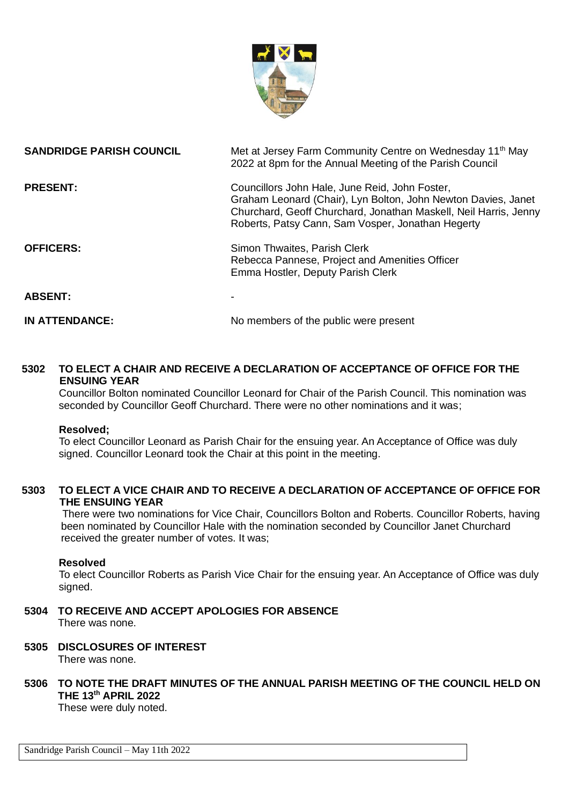

| <b>SANDRIDGE PARISH COUNCIL</b> | Met at Jersey Farm Community Centre on Wednesday 11 <sup>th</sup> May<br>2022 at 8pm for the Annual Meeting of the Parish Council                                                                                                        |
|---------------------------------|------------------------------------------------------------------------------------------------------------------------------------------------------------------------------------------------------------------------------------------|
| <b>PRESENT:</b>                 | Councillors John Hale, June Reid, John Foster,<br>Graham Leonard (Chair), Lyn Bolton, John Newton Davies, Janet<br>Churchard, Geoff Churchard, Jonathan Maskell, Neil Harris, Jenny<br>Roberts, Patsy Cann, Sam Vosper, Jonathan Hegerty |
| <b>OFFICERS:</b>                | Simon Thwaites, Parish Clerk<br>Rebecca Pannese, Project and Amenities Officer<br>Emma Hostler, Deputy Parish Clerk                                                                                                                      |
| <b>ABSENT:</b>                  |                                                                                                                                                                                                                                          |
| <b>IN ATTENDANCE:</b>           | No members of the public were present                                                                                                                                                                                                    |

## **5302 TO ELECT A CHAIR AND RECEIVE A DECLARATION OF ACCEPTANCE OF OFFICE FOR THE ENSUING YEAR**

Councillor Bolton nominated Councillor Leonard for Chair of the Parish Council. This nomination was seconded by Councillor Geoff Churchard. There were no other nominations and it was;

### **Resolved;**

To elect Councillor Leonard as Parish Chair for the ensuing year. An Acceptance of Office was duly signed. Councillor Leonard took the Chair at this point in the meeting.

### **5303 TO ELECT A VICE CHAIR AND TO RECEIVE A DECLARATION OF ACCEPTANCE OF OFFICE FOR THE ENSUING YEAR**

 There were two nominations for Vice Chair, Councillors Bolton and Roberts. Councillor Roberts, having been nominated by Councillor Hale with the nomination seconded by Councillor Janet Churchard received the greater number of votes. It was;

#### **Resolved**

To elect Councillor Roberts as Parish Vice Chair for the ensuing year. An Acceptance of Office was duly signed.

**5304 TO RECEIVE AND ACCEPT APOLOGIES FOR ABSENCE** There was none.

#### **5305 DISCLOSURES OF INTEREST** There was none.

# **5306 TO NOTE THE DRAFT MINUTES OF THE ANNUAL PARISH MEETING OF THE COUNCIL HELD ON THE 13th APRIL 2022**

These were duly noted.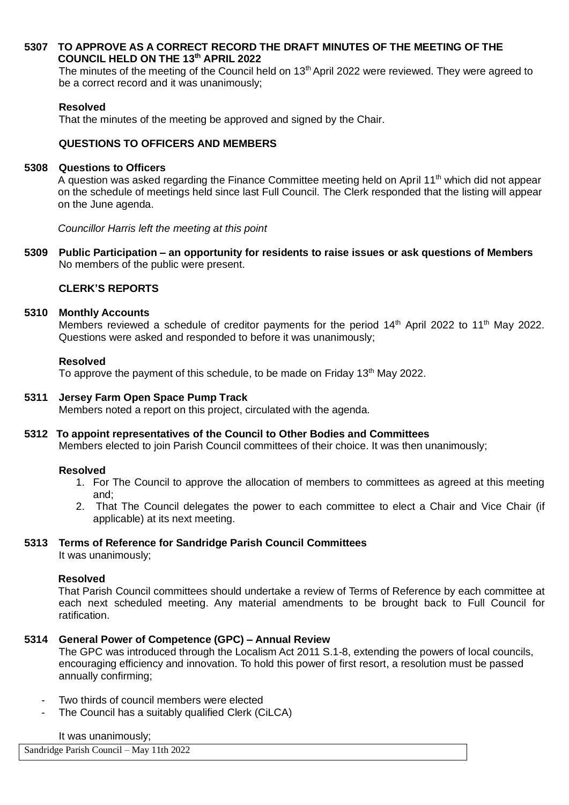### **5307 TO APPROVE AS A CORRECT RECORD THE DRAFT MINUTES OF THE MEETING OF THE COUNCIL HELD ON THE 13th APRIL 2022**

The minutes of the meeting of the Council held on 13<sup>th</sup> April 2022 were reviewed. They were agreed to be a correct record and it was unanimously;

### **Resolved**

That the minutes of the meeting be approved and signed by the Chair.

### **QUESTIONS TO OFFICERS AND MEMBERS**

#### **5308 Questions to Officers**

A question was asked regarding the Finance Committee meeting held on April 11<sup>th</sup> which did not appear on the schedule of meetings held since last Full Council. The Clerk responded that the listing will appear on the June agenda.

*Councillor Harris left the meeting at this point*

**5309 Public Participation – an opportunity for residents to raise issues or ask questions of Members** No members of the public were present.

## **CLERK'S REPORTS**

#### **5310 Monthly Accounts**

Members reviewed a schedule of creditor payments for the period 14<sup>th</sup> April 2022 to 11<sup>th</sup> May 2022. Questions were asked and responded to before it was unanimously;

#### **Resolved**

To approve the payment of this schedule, to be made on Friday 13<sup>th</sup> May 2022.

### **5311 Jersey Farm Open Space Pump Track**

Members noted a report on this project, circulated with the agenda.

### **5312 To appoint representatives of the Council to Other Bodies and Committees**

Members elected to join Parish Council committees of their choice. It was then unanimously;

#### **Resolved**

- 1. For The Council to approve the allocation of members to committees as agreed at this meeting and;
- 2. That The Council delegates the power to each committee to elect a Chair and Vice Chair (if applicable) at its next meeting.

### **5313 Terms of Reference for Sandridge Parish Council Committees**

It was unanimously;

### **Resolved**

That Parish Council committees should undertake a review of Terms of Reference by each committee at each next scheduled meeting. Any material amendments to be brought back to Full Council for ratification.

### **5314 General Power of Competence (GPC) – Annual Review**

The GPC was introduced through the Localism Act 2011 S.1-8, extending the powers of local councils, encouraging efficiency and innovation. To hold this power of first resort, a resolution must be passed annually confirming;

- Two thirds of council members were elected
- The Council has a suitably qualified Clerk (CiLCA)

#### It was unanimously;

Sandridge Parish Council – May 11th 2022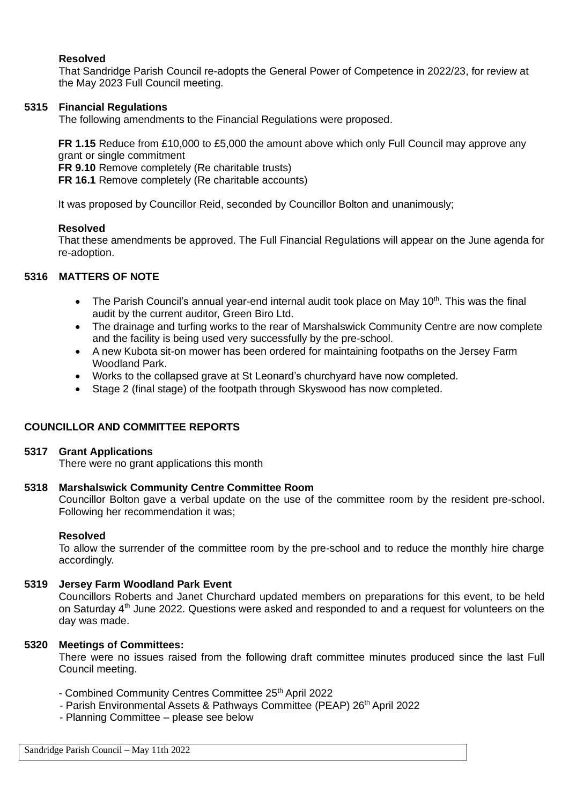### **Resolved**

That Sandridge Parish Council re-adopts the General Power of Competence in 2022/23, for review at the May 2023 Full Council meeting.

#### **5315 Financial Regulations**

The following amendments to the Financial Regulations were proposed.

**FR 1.15** Reduce from £10,000 to £5,000 the amount above which only Full Council may approve any grant or single commitment

**FR 9.10** Remove completely (Re charitable trusts)

**FR 16.1** Remove completely (Re charitable accounts)

It was proposed by Councillor Reid, seconded by Councillor Bolton and unanimously;

#### **Resolved**

That these amendments be approved. The Full Financial Regulations will appear on the June agenda for re-adoption.

#### **5316 MATTERS OF NOTE**

- The Parish Council's annual year-end internal audit took place on May 10<sup>th</sup>. This was the final audit by the current auditor, Green Biro Ltd.
- The drainage and turfing works to the rear of Marshalswick Community Centre are now complete and the facility is being used very successfully by the pre-school.
- A new Kubota sit-on mower has been ordered for maintaining footpaths on the Jersey Farm Woodland Park.
- Works to the collapsed grave at St Leonard's churchyard have now completed.
- Stage 2 (final stage) of the footpath through Skyswood has now completed.

### **COUNCILLOR AND COMMITTEE REPORTS**

#### **5317 Grant Applications**

There were no grant applications this month

#### **5318 Marshalswick Community Centre Committee Room**

Councillor Bolton gave a verbal update on the use of the committee room by the resident pre-school. Following her recommendation it was;

#### **Resolved**

To allow the surrender of the committee room by the pre-school and to reduce the monthly hire charge accordingly.

#### **5319 Jersey Farm Woodland Park Event**

Councillors Roberts and Janet Churchard updated members on preparations for this event, to be held on Saturday  $4<sup>th</sup>$  June 2022. Questions were asked and responded to and a request for volunteers on the day was made.

#### **5320 Meetings of Committees:**

There were no issues raised from the following draft committee minutes produced since the last Full Council meeting.

- Combined Community Centres Committee 25<sup>th</sup> April 2022
- Parish Environmental Assets & Pathways Committee (PEAP) 26<sup>th</sup> April 2022
	- Planning Committee please see below